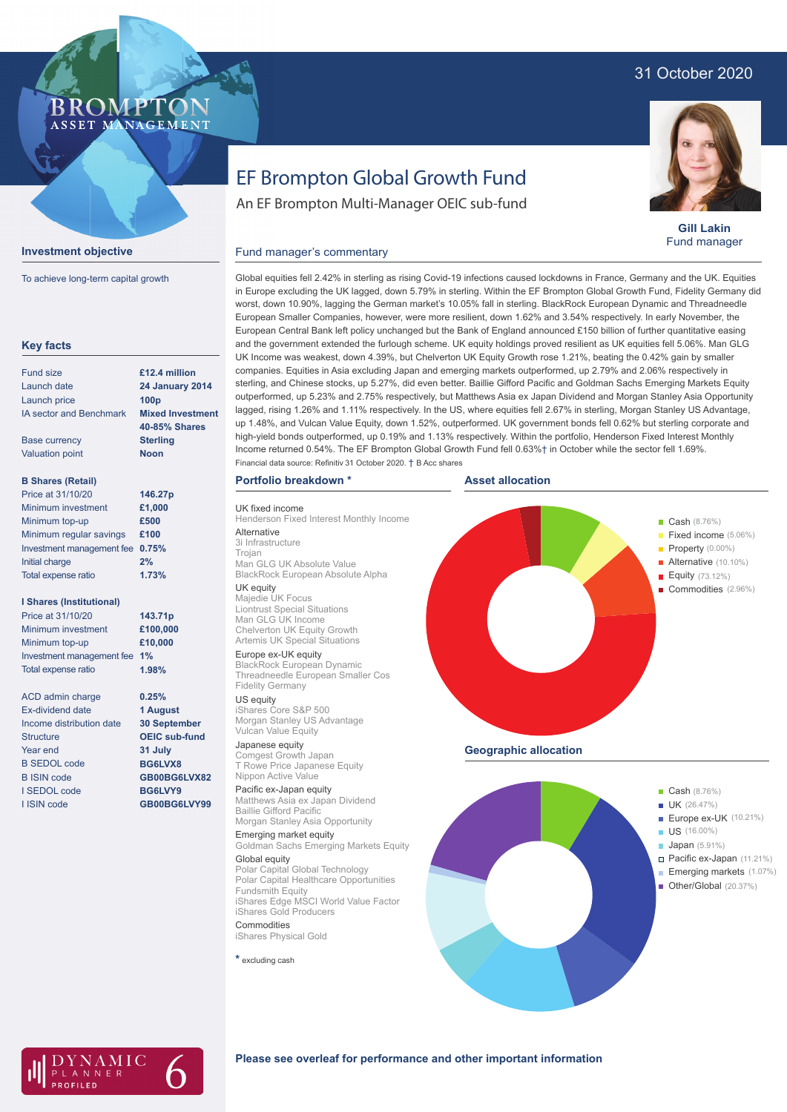### 31 October 2020

#### **BROMP** ASSET MANAGEMENT

# **Investment objective**

To achieve long-term capital growth

| <b>Key facts</b>                |                         |
|---------------------------------|-------------------------|
| Fund size                       | £12.4 million           |
| Launch date                     | <b>24 January 2014</b>  |
| Launch price                    | 100 <sub>p</sub>        |
| <b>IA sector and Benchmark</b>  | <b>Mixed Investment</b> |
|                                 | <b>40-85% Shares</b>    |
| <b>Base currency</b>            | <b>Sterling</b>         |
| <b>Valuation point</b>          | <b>Noon</b>             |
| <b>B Shares (Retail)</b>        |                         |
| Price at 31/10/20               | 146.27p                 |
| Minimum investment              | £1,000                  |
| Minimum top-up                  | £500                    |
| Minimum regular savings         | £100                    |
| Investment management fee       | 0.75%                   |
| Initial charge                  | 2%                      |
| Total expense ratio             | 1.73%                   |
| <b>I Shares (Institutional)</b> |                         |
| Price at 31/10/20               | 143.71p                 |
| Minimum investment              | £100,000                |
| Minimum top-up                  | £10,000                 |
| Investment management fee       | 1%                      |
| Total expense ratio             | 1.98%                   |
| <b>ACD</b> admin charge         | 0.25%                   |
| <b>Fx-dividend date</b>         | 1 August                |
| Income distribution date        | <b>30 September</b>     |
| <b>Structure</b>                | <b>OEIC sub-fund</b>    |
| Year end                        | 31 July                 |
| <b>B SEDOL code</b>             | BG6LVX8                 |
| <b>B ISIN code</b>              | GB00BG6LVX82            |
| I SEDOL code                    | BG6LVY9                 |
| I ISIN code                     | GB00BG6LVY99            |
|                                 |                         |

# EF Brompton Global Growth Fund

An EF Brompton Multi-Manager OEIC sub-fund



**Gill Lakin** Fund manager

#### Fund manager's commentary

Global equities fell 2.42% in sterling as rising Covid-19 infections caused lockdowns in France, Germany and the UK. Equities in Europe excluding the UK lagged, down 5.79% in sterling. Within the EF Brompton Global Growth Fund, Fidelity Germany did worst, down 10.90%, lagging the German market's 10.05% fall in sterling. BlackRock European Dynamic and Threadneedle European Smaller Companies, however, were more resilient, down 1.62% and 3.54% respectively. In early November, the European Central Bank left policy unchanged but the Bank of England announced £150 billion of further quantitative easing and the government extended the furlough scheme. UK equity holdings proved resilient as UK equities fell 5.06%. Man GLG UK Income was weakest, down 4.39%, but Chelverton UK Equity Growth rose 1.21%, beating the 0.42% gain by smaller companies. Equities in Asia excluding Japan and emerging markets outperformed, up 2.79% and 2.06% respectively in sterling, and Chinese stocks, up 5.27%, did even better. Baillie Gifford Pacific and Goldman Sachs Emerging Markets Equity outperformed, up 5.23% and 2.75% respectively, but Matthews Asia ex Japan Dividend and Morgan Stanley Asia Opportunity lagged, rising 1.26% and 1.11% respectively. In the US, where equities fell 2.67% in sterling, Morgan Stanley US Advantage, up 1.48%, and Vulcan Value Equity, down 1.52%, outperformed. UK government bonds fell 0.62% but sterling corporate and high-yield bonds outperformed, up 0.19% and 1.13% respectively. Within the portfolio, Henderson Fixed Interest Monthly Income returned 0.54%. The EF Brompton Global Growth Fund fell 0.63%† in October while the sector fell 1.69%. Financial data source: Refinitiv 31 October 2020. † B Acc shares

#### **Portfolio breakdown \***

UK fixed income Henderson Fixed Interest Monthly Income **Alternative** 3i Infrastructure

Trojan Man GLG UK Absolute Value BlackRock European Absolute Alpha UK equity

#### Majedie UK Focus

Liontrust Special Situations Man GLG UK Income Chelverton UK Equity Growth Artemis UK Special Situations Europe ex-UK equity

BlackRock European Dynamic Threadneedle European Smaller Cos Fidelity Germany

US equity iShares Core S&P 500 Morgan Stanley US Advantage Vulcan Value Equity

Japanese equity Comgest Growth Japan T Rowe Price Japanese Equity Nippon Active Value

#### Pacific ex-Japan equity

Matthews Asia ex Japan Dividend Baillie Gifford Pacific Morgan Stanley Asia Opportunity

Emerging market equity Goldman Sachs Emerging Markets Equity Global equity

#### Polar Capital Global Technology Polar Capital Healthcare Opportunities Fundsmith Equity

iShares Edge MSCI World Value Factor iShares Gold Producers **Commodities** 

iShares Physical Gold

**\*** excluding cash





#### **Please see overleaf for performance and other important information**